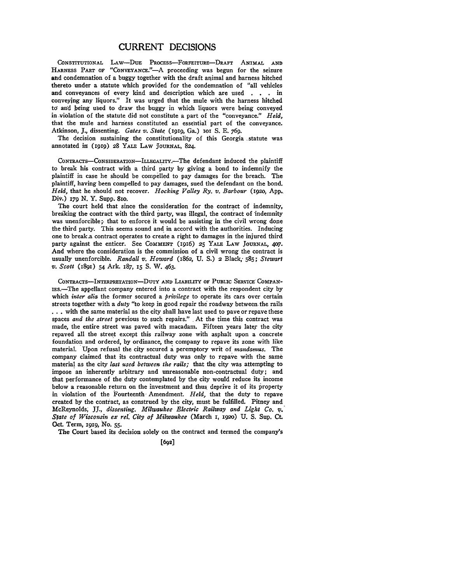## CURRENT **DECISIONS**

**CONSTITUTIONAL** LAw-DuE PROCESS-FoRFEITURE-DRAFT **ANIMAL AND** HARNESS PART OF "CONVEYANCE."-A proceeding was begun for the seizure and condemnation of a buggy together with the draft animal and harness hitched thereto under a statute which provided for the condemnation of "all vehicles and conveyances of every kind and description which are used **. .** . in conveying any liquors." It was urged that the mule with the harness hitched to and being used to draw the buggy in which liquors were being conveyed in violation of the statute did not constitute a part of the "conveyance." *Held,* that the mule and harness constituted an essential part of the conveyance. Atkinson, **J.,** dissenting. *Gates v. State* **(i919,** Ga.) **IOI S. E. 769.**

The decision sustaining the constitutionality of this Georgia statute was annotated in **(IgIg) 28** YALE LAW **JOURNAL,** 824.

**CONTRACTS-CONSIDERATION-ILLEGALITY.-The** defendant induced the plaintiff to break his contract with a third party **by** giving a bond to indemnify the plaintiff in case he should be compelled to pay damages for the breach. The plaintiff, having been compelled to pay damages, sued the defendant on the bond. *Held,* that he should not recover. *Hocking Valley Ry. v. Barbour* **(i92o, App..** Div.) *179 N.* **Y. Supp. 81o.**

The court held that since the consideration for the contract of indemnity, breaking the contract with the third party, was illegal, the contract of indemnity was unenforcible; that to enforce it would be assisting in the civil wrong done the third party. This seems sound and in accord with the authorities. Inducing one to breaka contract operates to create a right to damages in the injured third party against the enticer. See **COMMENT** *(1916)* **25** YALE **LAW JOURNAL, 407.** And where the consideration is the commission of a civil wrong the contract is usually unenforcible. *Randall v. Howard* (1862, **U. S.)** 2 Black; **585;** *Stewart v. Scott* **(i891)** 54 Ark. 187, **15 S.** W. 463.

CONTRACTS-INTERPRETATION-DUTY **AND LIABILITY** OF **PUBLIC** SERvlcE COMPAN-IEs.-The appellant company entered into a contract with the respondent city **by** which *inter alia* the former secured a *privilege* to operate its cars over certain streets together with a *duty* "to keep in good repair the roadway between. the rails **...** with the same material as the city shall have last used to pave or repave these spaces *and the street* previous to such repairs." .At the time this contract was made, the entire street was paved with macadam. Fifteen years later the city repaved all the street except this railway zone with asphalt upon a concrete foundation and ordered, **by** ordinance, the company to repave its zone with like material. Upon refusal the city secured a peremptory writ of *mandamus.* The company claimed that its contractual duty was only to repave with the same material as the city *last used between the rails;* that the city was attempting to impose an inherently arbitrary and unreasonable non-contractual duty; and that performance of the duty contemplated **by** the city would reduce its income below a reasonable return on the investment and thus deprive it of its property in violation of the Fourteenth Amendment. *Held*, that the duty to repave created **by** the contract, as construed by the city, must be fulfilled. Pitney and McReynolds, **JJ.,** *dissenting. Milwaukee Electric Railway and Light Co. v. Slate of Wisconsin ex rel. City of Milwaukee* (March I, **i92o) U. S.** Sup. **Ct.** Oct. Term, **I919,** No. **55.**

The Court based its decision solely on the contract and termed the company's

**[692]**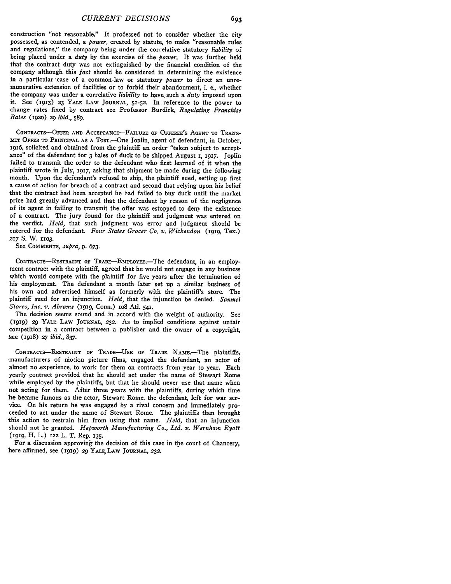construction "not reasonable." It professed not to consider whether the city possessed, as contended, a *power,* created by statute, to make "reasonable rules and regulations," the company being under the correlative statutory *liability* of being placed under a *duty* by the exercise of the *power.* It was further held that the contract duty was not extinguished by the financial condition of the company although this *fact* should be considered in determining the existence in a particular-case of a common-law or statutory *power* to direct an unremunerative extension of facilities or to forbid their abandonment, i. e., whether the company was under a correlative *liability* to have, such a *duty* imposed upon it. See (1913) **23** YALE LAW **JOURNAL,** 51-52. In reference to the power to change rates fixed by contract see Professor Burdick, *Regulating Franchise Rates* (1920) *29 ibid., 589.*

CONTRACTS-OFFER **AND** ACCEPTANCE-FAILURE OF OFFEREE's **AGENT** TO **TRANS-**MIT OFFER **TO** PRINCIPAL **AS A** TORT.-One Joplin, agent of defendant, in October, 1916, solicited and obtained from the plaintiff an order "taken subject to acceptance" of the defendant for **3** bales of duck to be shipped August r, **1917.** Joplin failed to transmit the order to the defendant who first learned of it when the plaintiff wrote in July, 1917, asking that shipment be made during the following month. Upon the defendant's refusal to ship, the plaintiff sued, setting up first a cause of action for breach of.a contract and second that relying upon his belief that the contract had been accepted he had failed to buy duck until the market price had greatly advanced and that the defendant by reason of the negligence of its agent in failing to transmit the offer was estopped to deny the existence of a contract. The jury found for the plaintiff and judgment was entered on the verdict. *Held,* that such judgment was error and judgment should be entered for the defendant. *Four States Grocer Co. v. Wickendon* **(I919,** Tex.) *217* **S.** W. **1103.**

See COMMENTS, *supra,* p. 673.

CONTRACTS-RESTRAINT OF TRADE-EMPLOYEE.-The defendant, in an employment contract with the plaintiff, agreed that he would not engage in any business which would compete with the plaintiff for five years after the termination of his employment. The defendant a month later set up a similar business of his own and advertised himself as formerly with the plaintiff's store. The plaintiff sued for an injunction. *Held,* that the injunction be denied. *Samuel Stores, Inc. v. Abrams* (1919, Conn.) 108 Atl. 541.

The decision seems sound and in accord with the weight of authority. See (1919) 29 YALE LAW JOURNAL, **232-** As to implied conditions against unfair competition in a contract between a publisher and the owner of a copyright, 2see (I918) **27** *ibid.,* 837.

CONTRACTs-RESTRAINT OF TRADE-USE OF TRADE NAME.-The plaintiffs, -manufacturers of motion picture films, engaged the defendant, an actor of almost no experience, to work for them on contracts from year to year. Each yearly contract provided that he should act under the name of Stewart Rome while employed by the plaintiffs, but that he should never use that name when not acting for them. After three years with the plaintiffs, during which time he became famous as the actor, Stewart Rome. the defendant, left for war service. On his return he was engaged by a rival concern and immediately proceeded to act under the name of Stewart Rome. The plaintiffs then brought this action to restrain him from using that name. *Held,* that an injunction should not be granted. *Hepworth Manufacturing Co., Ltd. v. Wernham Ryott* **(i919,** H. L.) **122** L. T. Rep. **135.**

For a discussion approving the decision of this case in the court of Chancery, here affirmed, see (I919) 29 YALE, LAW **JOURNAL, 232.**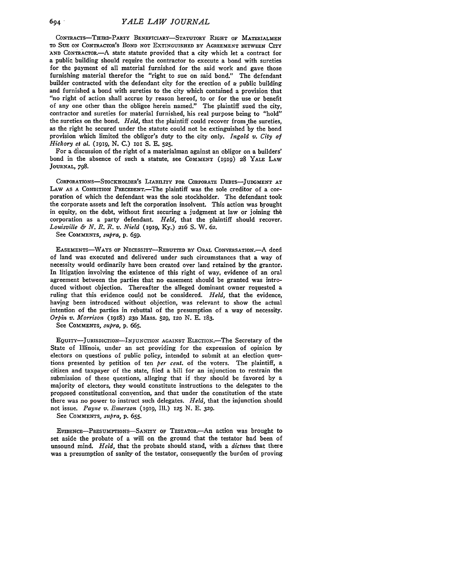CONTRACTS-THIRD-PARTY BENEFICIARY-STATUTORY RIGHT OF MATERIALMEN TO **SUE** ON CONTRACTOR'S BOND **NOT** EXTINGUISHED BY AGREEMENT BETWEEN CITY **AND** CONTRACToR.-A state statute provided that a city which let a contract for a public building should require the contractor to execute a bond with sureties for the payment of all material furnished for the said work and gave those furnishing material therefor the "right to sue on said bond." The defendant builder contracted with the defendant city for the erection of a public building and furnished a bond with sureties to the city which contained a provision that "no right of action shall accrue **by** reason hereof, to or for the use or benefit of any one other than the obligee herein named." The plaintiff sued the city, contractor and sureties for material furnished, his real purpose being to "hold" the sureties on the bond. *Held,* that the plaintiff could recover from the sureties, as the right he secured under the statute could not be extinguished **by** the bond provision which limited the obligor's duty to the city only. *Ingold v. City of Hickory et al.* (i919, **N. C.)** ioi **S. E. 525.**

For a discussion of the right of a materialman against an obligor on a builders' bond in the absence of such a statute, see **COMMENT (1919) 28** YALE LAW **JOURNAL, 798.**

CORPORATIONS-STOCKHOLDER'S LIABILITY FOR CORPORATE **DEBTS-JUDGMENT** AT LAW AS A CONDITION PRECEDENT. The plaintiff was the sole creditor of a corporation of which the defendant was the sole stockholder. The defendant took the corporate assets and left the corporation insolvent. This action was brought in equity, on the debt, without first securing a judgment at law or joining the corporation as a party defendant. *Held,* that the plaintiff should recover. *Louisville & N. R. R. v. Nield* **(i919, Ky.)** 216 **.** W. **62.**

See **COMMENTS,** *supra,* **p. 659.**

**EASEMENTS-WAYS** OF NECESSITY-REBUTTED BY ORAL **CONVERSATION.-A** deed of land was executed and delivered under such circumstances that a way of necessity would ordinarily have been created over land retained **by** the grantor. In litigation involving the existence of this right of way, evidence of an oral agreement between the parties that no easement should be granted was introduced without objection. Thereafter the alleged dominant owner requested a ruling that this evidence could not be considered. *Held,* that the evidence, having been introduced without objection, was relevant to show the actual intention of the parties in rebuttal of the presumption of a way of necessity. *Orpnts v. Morrison* (1918) **23o** Mass. **529,** *12o* **N. E.** 183.

See COMMENTS, *supra,* **p.** *665.*

EQUITY-JURISDICTION-INJUNCTION AGAINST ELECTIoN.-The Secretary of the State of Illinois, under an act providing for the expression of opinion **by** electors on questions of public policy, intended to submit at an election questions presented **by** petition of ten *per cent.* of the voters. The plaintiff, a citizen and taxpayer of the state, filed a bill for an injunction to restrain the submission of these questions, alleging that if they should be favored **by** a majority of electors, they would constitute instructions to the delegates to the proposed constitutional convention, and that under the constitution of the state there was no power to instruct such delegates. *Held,* that the injunction should not issue. *Payne v. Emerson* **(1919,** Ill.) **125 N. E. 329.**

See **COMMENTS,** *supra,* **p.** 655.

**EviDENCE-PRESUMPTIONS-SANTY OF** TESTATOR-An action was brought to set aside the probate of a will on the ground that the testator had been of unsound mind. *Held,* that the probate should stand, with a *dictum* that there was a presumption of sanity of the testator, consequently the burden of proving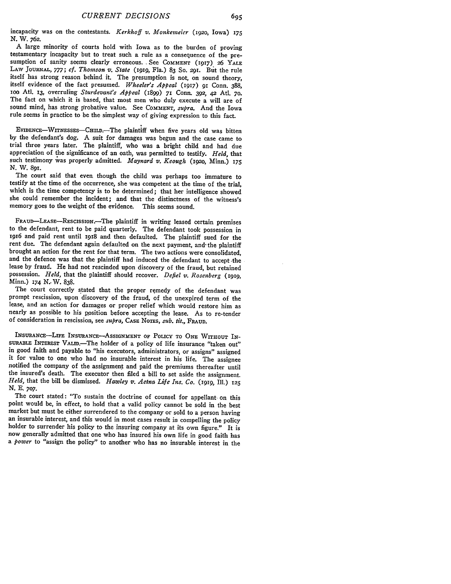incapacity was on the contestants. *Kerkhoff v. Monkemeier* **(1920,** Iowa) *175* **N.** W. 762.

A large minority of courts hold with Iowa as to the burden of proving testamentary incapacity but to treat such a rule as a consequence of the presumption of sanity seems clearly erroneous. See COMMENT (1917) 26 YALE LAW **JOURNAL,** *777; cf. Thomson v. State* (igig, Fla.) **83** So. 291. But the rule itself has strong reason behind it. The presumption is not, on sound theory, itself evidence of the fact presumed. *Wheeler's Appeal* (1917) 91 Conn. 388, ioo Atl. 13, overruling *Sturdevant's Appeal* (899) **71** Conn. **392, 42** Atl. **70.** The fact on which it is based, that most men who duly execute a will are of sound mind, has strong probative value. See **COMMENT,** *supra.* And the Iowa rule seems in practice to be the simplest way of giving expression to this fact.

**EVIDENcE-WITNESSEs-CHiLD.-The** plaintiff when five years old was bitten by the defendant's dog. A suit for damages was begun and the case came to trial three years later. The plaintiff, who was a bright child and had due appreciation of the significance of an oath, was permitted to testify. *Held,* that such testimony was properly admitted. *Maynard v. Keough* **(192o,** Minn.) **<sup>175</sup>** N. W. 801.

The court said that even though the child was perhaps too immature to testify at the time of the occurrence, she was competent at the time of the trial, which is the time competency is to be determined; that her intelligence showed she could remember the incident; and that the distinctness of the witness's memory goes to the weight of the evidence. This seems sound.

FRAUD-LEASE-RESCISSION.-The plaintiff in writing leased certain premises to the defendant, rent to be paid quarterly. The defendant took possession in i916 and paid rent until 1918 and then defaulted. The plaintiff sued for the rent due. The defendant again defaulted on the next payment, and-the plaintiff brought an action for the rent for that term. The two actions were consolidated, and the defence was that the plaintiff had induced the defendant to accept-the lease by fraud. He had not rescinded upon discovery of the fraud, but retained possession. *Held,* that the plaintiff should recover. *Defiel v. Rosenberg* **(1919,** Minn.) 174 N..W. **838.**

The court correctly stated that the proper remedy of the defendant was prompt rescission, upon discovery of the fraud, of the unexpired term of the lease, and an action for damages or proper relief which would restore him as nearly as possible to his position before accepting the lease. As to re-tender of consideration in rescission, see *supra,* **CASE** NOTES, *sub. tit.,* **FRAUD.**

INSURANcE-LIFE INSURANcE-AsSIGNMENT OF POLICY TO *ONE* WITHOUT IN-SURABLE INTEREST VALID. The holder of a policy of life insurance "taken out" in good faith and payable to "his executors, administrators, or assigns" assigned it for value to one who had no insurable interest in his life. The assignee notified the company of the assignment and paid the premiums thereafter until the insured's death. The executor then filed a bill to set aside the assignment. *Held,* that the bill be dismissed. *Hawley v. Aetna Life Ins. Co.* **(igig,** Ill.) **<sup>125</sup>** N. E. **707.**

The court stated: "To sustain the doctrine of counsel for appellant on this point would be, in effect, to hold that a valid policy cannot be sold in the best market but must be either surrendered to the company or sold to a person having an insurable interest, and this would in most cases result in compelling the policy holder to surrender his policy to the insuring company at its own figure." It is now generally admitted that one who has insured his own l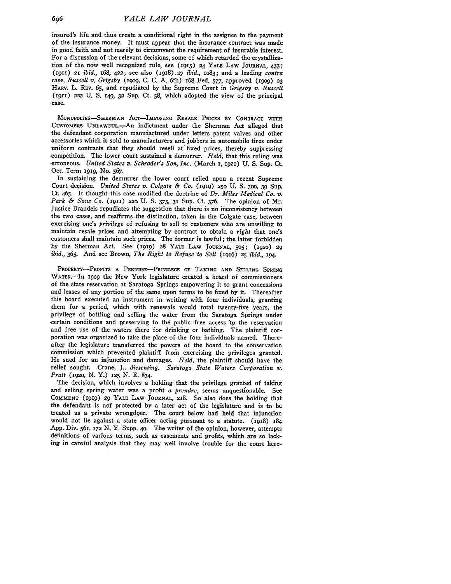insured's life and thus create a conditional right in the assignee to the payment of the insurance money. It must appear that the insurance contract Was made in good faith and not merely to circumvent the requirement of insurable interest. For a discussion of the relevant decisions, some of which retarded the crystallization of the now well recognized rule, see (1915) 24 YALE LAW JOURNAL, 433; (191I) **21** *ibid.,* I68, **422;** see also (I918).27 *ibid.,* lO83; and a leading contra case, *Russell v. Grigsby* (igog, **C.** C. **A.** 6th) 168 Fed. *577,* approved *(igo9)* **23** HARV. L. REv. 65, and repudiated **by** the Supreme Court in *Grigsby v. Russell* (19II) 222 **U. S.** 149, **32** Sup. Ct. **58,** which adopted the view of the principal -case.

**MONOPOLIES-SHERMAN** ACT-IMPOSING RESALE PRICES BY CONTRACT WITH **CUSTOMERS** UNLAWFUL.-An indictment under the Sherman Act alleged that the defendant corporation manufactured under letters patent valves and other accessories which it sold to manufacturers and jobbers in automobile tires under uniform contracts that they should resell **at** fixed prices, thereby supjressing -competition. The lower court sustained a demurrer. *Held,* that this ruling was -erroneous. *United States v. Schrader's Son, Inc.* (March I, **192o) U. S.** Sup. Ct. Oct. Term **1919,** No. *567.*

In sustaining the demurrer the lower court relied upon a recent Supreme Court decision. *United States v. Colgate & Co.* **(1919) 250** U. S. 30, 39 Sup. Ct. 465. It thought this case modified the doctrine of *Dr. Miles Medical Co. v. Park & Sons Co.* **(1911)** 220 U. **S.** *373,* 31 Sup. Ct. 376. The opinion of Mr. Justice Brandeis repudiates the suggestion that there is no inconsistency between the two cases, and reaffirms the distinction, taken in the Colgate case, between exercising one's *privilege* of refusing to sell to customers who are unwilling to maintain resale prices and attempting by contract to obtain a *right* that one's customers shall maintain such prices. The former is lawful; the latter forbidden **by** the Sherman Act. See **(I919)** 28 YALE LAW JOURNAL, 505; (1920) 29 *ibid.,* 365. And see Brown, *The Right to Refuse to Sell* (1916) **25** *ibid.,* 194.

**PROPERTY-PROFITS A PRENDRE-PRIVILEGE OF TAKING AND SELLING** SPRING **WATER.-In igog** the New York legislature created a board of commissioners of the state reservation at Saratoga Springs empowering it to grant concessions and leases of any portion of the same upon terms to be fixed by it. Thereafter this board executed an instrument in writing with four individuals, granting them for a period, which with renewals would total twenty-five years, the privilege of bottling and selling the water from the Saratoga Springs under -certain conditions and preserving to the public free access to the reservation and free use of the waters there for drinking or bathing. The plaintiff corporation was organized to take the place of the four individuals named. Thereafter the legislature transferred the powers of the board to the conservation commission which prevented plaintiff from exercising the privileges granted. He sued for an injunction and damages. *Held,* the plaintiff should have the **relief** sought. Crane, **J.,** *dissenting. Saratoga State Waters Corporation v. Pratt* **(192o,** N. Y.) 125 N. E. 834.

The decision, which involves a holding that the privilege granted of taking and selling spring water was a profit *a prendre,* seems unquestionable. See **COMMENT (1919)** 29 YALE LAW **JOURNAL,** 218. So also does the holding that the defendant is nof protected by a later act of the legislature and is to be treated as a private wrongdQer. The court below had held that injunction would not lie against a state officer acting pursuant to a statute. (1918) 184 **-App.** Div. 561, 172 N. Y. Supp. **4o .** The writer of the opinion, however, attempts definitions of various terms, such as easements and profits, which are so lacking in careful analysis that they may well involve trouble for the court here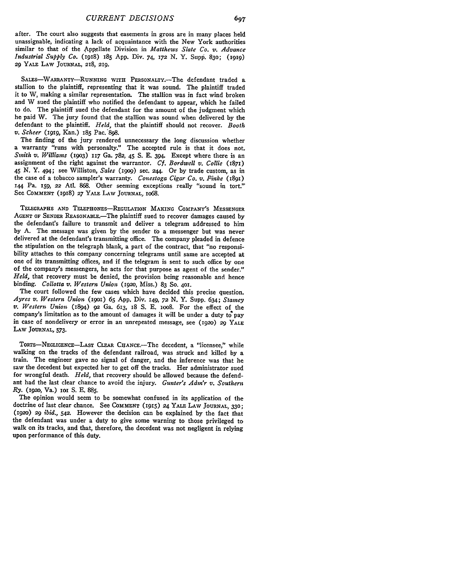after. The court also suggests that easements in gross are in many places held unassignable, indicating a lack of acquaintance with the New York authorities similar to that of the Appellate Division in *Matthews Slate Co. v. Advance Industrial Supply Co.* (I918) **x85 App.** Div. 74, **172 N.** Y. Supl. **830; (1919) 29** YALE LAW JOURNAL, 218, **219.**

SALES-WARRANTY-RUNNING **WITH** PERSONALTY.-The defendant traded a stallion to the plaintiff, representing that it was sound. The plaintiff traded it to W, making a similar representation. The stallion was in fact wind broken and W sued the plaintiff who notified the defendant to appear, which he failed to do. The plaintiff sued the defendant for the amount of the judgment which he paid W. The jury found that the stallion was sound when delivered by the defendant to the plaintiff. *Held,* that the plaintiff should not recover. *Booth v. Scheer* (1919, Kan.) 185 Pac. 898.

The finding of the jury rendered unnecessary the long discussion whether a warranty "runs with personalty." The accepted rule is that it does not. *Smith v. Williams* (I9O3) **117** Ga. 782, 45 S. E. 394. Except where there is an assignment of the right against the warrantor. *Cf. Bordwell v. Collie (1871)* 45 N. Y. 494; see Williston, *Sales* (igo9) sec. 244. Or by trade custom, as in the case of a tobacco sampler's warranty. *Conestoga Cigar Co. v. Finke* (I89I) <sup>144</sup>Pa. 159, **22** Atl. 868. Other seeming exceptions really "sound in tort." See **COMMENT** (I918) **27** YALE LAW **JOURNAL,** io68.

TELEGRAPHS **AND** TELEPHONES-REGULATION **MAKING COMPANY'S MESSENGER AGENT OF SENDER** REASONABLE.-The plaintiff sued to recover damages caused by the defendant's failure to transmit and deliver a telegram addressed to him **by A.** The message was given **by** the sender to a messenger but was never delivered at the defendant's transmitting office. The company pleaded in defence the stipulation on the telegraph blank, a part of the contract, that "no responsibility attaches to this company concerning telegrams until same are accepted at one of its transmitting offices, and if the telegram is sent to such office **by** one of the company's messengers, he acts for that purpose as agent of the sender." *Held,* that recovery must be denied, the provision being reasonable and hence binding. *Collotta v. Western Union* **(1920,** Miss.) **83** So. 4Ol.

The court followed the few cases which have decided this precise question. *Ayres v. Western Union* (i9oi) **65 App.** Div. 149, **72** *N.* Y. Supp. 634; *Stanley v. Western Union* (1894) **92** Ga. 613, 18 **S.** E. ioo8. For the effect of the company's limitation as to the amount of damages it will be under a duty to pay in case of nondelivery or error in an unrepeated message, see (1920) **29** YALE **LAW JOURNAL,** 573.

**T RTS-NEGLIGENcE-LAST CLEAR** CHANE.-The decedent, a "licensee," while walking on the tracks of the defendant railroad, was struck and killed by a train. The engineer gave no signal of danger, and the inference was that he saw the decedent but expected her to get off the tracks. Her administrator sued for wrongful death. *Held,* that recovery should be allowed because the defendant had the last clear chance to avoid the injury. *Gunter's Adn'r v. Southern Ry.* (i92o, Va.) **IO S.** E. **885.**

The opinion would seem to be somewhat confused in its application of the doctrine of last clear **chance.** See COMMENT (915) **24** YALE LAW **JOURNAL, 330; (1920)** 29 *ibid.,* 542. However the decision can be explained **by** the fact that the defendant was under a duty to give some warning to those privileged to walk on its tracks, and that, therefore, the decedent was not negligent in relying **upon** performance of this duty.